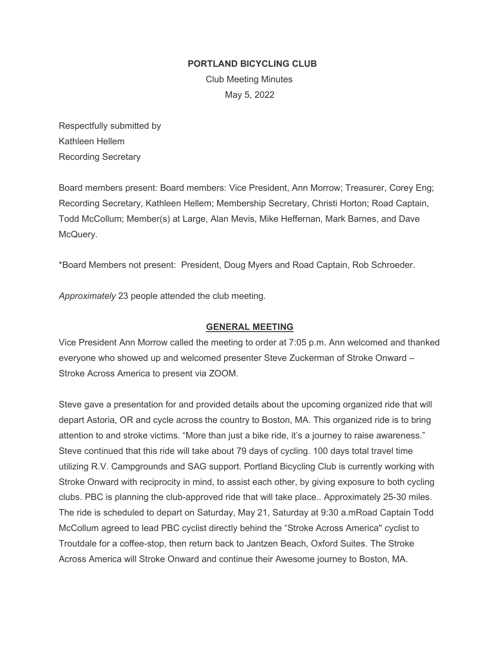### **PORTLAND BICYCLING CLUB**

Club Meeting Minutes May 5, 2022

Respectfully submitted by Kathleen Hellem Recording Secretary

Board members present: Board members: Vice President, Ann Morrow; Treasurer, Corey Eng; Recording Secretary, Kathleen Hellem; Membership Secretary, Christi Horton; Road Captain, Todd McCollum; Member(s) at Large, Alan Mevis, Mike Heffernan, Mark Barnes, and Dave McQuery.

\*Board Members not present: President, Doug Myers and Road Captain, Rob Schroeder.

*Approximately* 23 people attended the club meeting.

## **GENERAL MEETING**

Vice President Ann Morrow called the meeting to order at 7:05 p.m. Ann welcomed and thanked everyone who showed up and welcomed presenter Steve Zuckerman of Stroke Onward – Stroke Across America to present via ZOOM.

Steve gave a presentation for and provided details about the upcoming organized ride that will depart Astoria, OR and cycle across the country to Boston, MA. This organized ride is to bring attention to and stroke victims. "More than just a bike ride, it's a journey to raise awareness." Steve continued that this ride will take about 79 days of cycling. 100 days total travel time utilizing R.V. Campgrounds and SAG support. Portland Bicycling Club is currently working with Stroke Onward with reciprocity in mind, to assist each other, by giving exposure to both cycling clubs. PBC is planning the club-approved ride that will take place.. Approximately 25-30 miles. The ride is scheduled to depart on Saturday, May 21, Saturday at 9:30 a.mRoad Captain Todd McCollum agreed to lead PBC cyclist directly behind the "Stroke Across America'' cyclist to Troutdale for a coffee-stop, then return back to Jantzen Beach, Oxford Suites. The Stroke Across America will Stroke Onward and continue their Awesome journey to Boston, MA.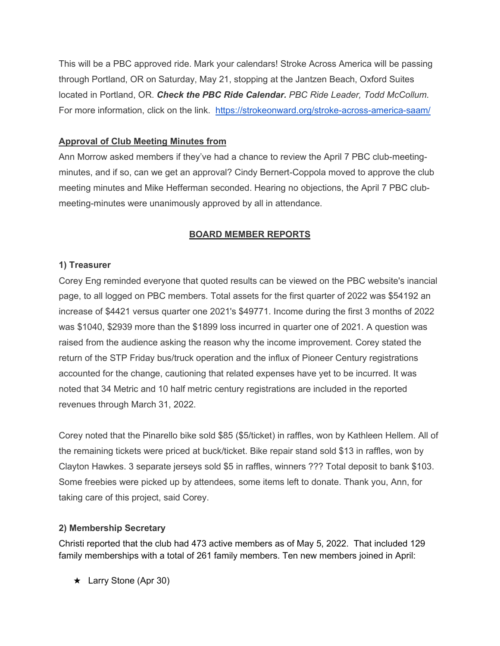This will be a PBC approved ride. Mark your calendars! Stroke Across America will be passing through Portland, OR on Saturday, May 21, stopping at the Jantzen Beach, Oxford Suites located in Portland, OR. *Check the PBC Ride Calendar. PBC Ride Leader, Todd McCollum.* For more information, click on the link. <https://strokeonward.org/stroke-across-america-saam/>

# **Approval of Club Meeting Minutes from**

Ann Morrow asked members if they've had a chance to review the April 7 PBC club-meetingminutes, and if so, can we get an approval? Cindy Bernert-Coppola moved to approve the club meeting minutes and Mike Hefferman seconded. Hearing no objections, the April 7 PBC clubmeeting-minutes were unanimously approved by all in attendance.

## **BOARD MEMBER REPORTS**

## **1) Treasurer**

Corey Eng reminded everyone that quoted results can be viewed on the PBC website's inancial page, to all logged on PBC members. Total assets for the first quarter of 2022 was \$54192 an increase of \$4421 versus quarter one 2021's \$49771. Income during the first 3 months of 2022 was \$1040, \$2939 more than the \$1899 loss incurred in quarter one of 2021. A question was raised from the audience asking the reason why the income improvement. Corey stated the return of the STP Friday bus/truck operation and the influx of Pioneer Century registrations accounted for the change, cautioning that related expenses have yet to be incurred. It was noted that 34 Metric and 10 half metric century registrations are included in the reported revenues through March 31, 2022.

Corey noted that the Pinarello bike sold \$85 (\$5/ticket) in raffles, won by Kathleen Hellem. All of the remaining tickets were priced at buck/ticket. Bike repair stand sold \$13 in raffles, won by Clayton Hawkes. 3 separate jerseys sold \$5 in raffles, winners ??? Total deposit to bank \$103. Some freebies were picked up by attendees, some items left to donate. Thank you, Ann, for taking care of this project, said Corey.

## **2) Membership Secretary**

Christi reported that the club had 473 active members as of May 5, 2022. That included 129 family memberships with a total of 261 family members. Ten new members joined in April:

★ Larry Stone (Apr 30)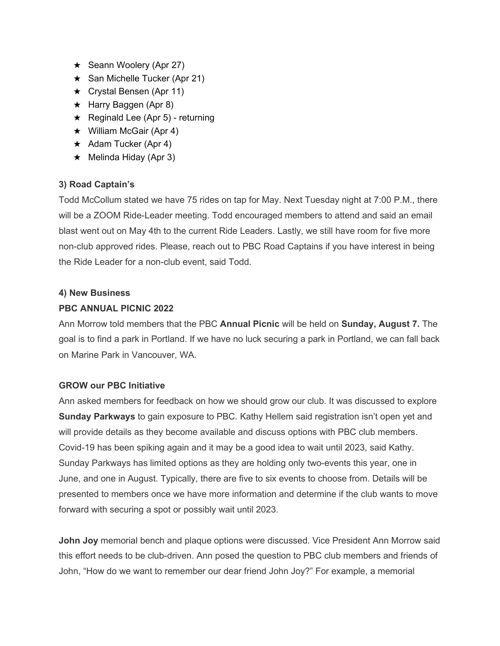- $\star$  Seann Woolery (Apr 27)
- ★ San Michelle Tucker (Apr 21)
- ★ Crystal Bensen (Apr 11)
- ★ Harry Baggen (Apr 8)
- $\star$  Reginald Lee (Apr 5) returning
- $\star$  William McGair (Apr 4)
- $\star$  Adam Tucker (Apr 4)
- $\star$  Melinda Hiday (Apr 3)

# **3) Road Captain's**

Todd McCollum stated we have 75 rides on tap for May. Next Tuesday night at 7:00 P.M., there will be a ZOOM Ride-Leader meeting. Todd encouraged members to attend and said an email blast went out on May 4th to the current Ride Leaders. Lastly, we still have room for five more non-club approved rides. Please, reach out to PBC Road Captains if you have interest in being the Ride Leader for a non-club event, said Todd.

## **4) New Business**

# **PBC ANNUAL PICNIC 2022**

Ann Morrow told members that the PBC **Annual Picnic** will be held on **Sunday, August 7.** The goal is to find a park in Portland. If we have no luck securing a park in Portland, we can fall back on Marine Park in Vancouver, WA.

# **GROW our PBC Initiative**

Ann asked members for feedback on how we should grow our club. It was discussed to explore **Sunday Parkways** to gain exposure to PBC. Kathy Hellem said registration isn't open yet and will provide details as they become available and discuss options with PBC club members. Covid-19 has been spiking again and it may be a good idea to wait until 2023, said Kathy. Sunday Parkways has limited options as they are holding only two-events this year, one in June, and one in August. Typically, there are five to six events to choose from. Details will be presented to members once we have more information and determine if the club wants to move forward with securing a spot or possibly wait until 2023.

**John Joy** memorial bench and plaque options were discussed. Vice President Ann Morrow said this effort needs to be club-driven. Ann posed the question to PBC club members and friends of John, "How do we want to remember our dear friend John Joy?" For example, a memorial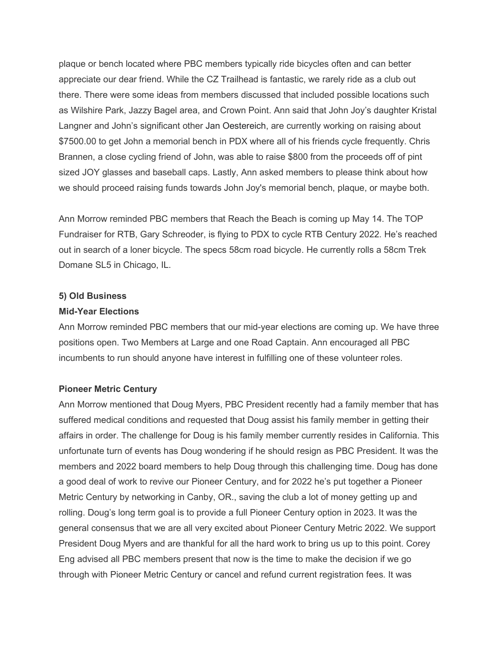plaque or bench located where PBC members typically ride bicycles often and can better appreciate our dear friend. While the CZ Trailhead is fantastic, we rarely ride as a club out there. There were some ideas from members discussed that included possible locations such as Wilshire Park, Jazzy Bagel area, and Crown Point. Ann said that John Joy's daughter Kristal Langner and John's significant other Jan Oestereich, are currently working on raising about \$7500.00 to get John a memorial bench in PDX where all of his friends cycle frequently. Chris Brannen, a close cycling friend of John, was able to raise \$800 from the proceeds off of pint sized JOY glasses and baseball caps. Lastly, Ann asked members to please think about how we should proceed raising funds towards John Joy's memorial bench, plaque, or maybe both.

Ann Morrow reminded PBC members that Reach the Beach is coming up May 14. The TOP Fundraiser for RTB, Gary Schreoder, is flying to PDX to cycle RTB Century 2022. He's reached out in search of a loner bicycle. The specs 58cm road bicycle. He currently rolls a 58cm Trek Domane SL5 in Chicago, IL.

#### **5) Old Business**

#### **Mid-Year Elections**

Ann Morrow reminded PBC members that our mid-year elections are coming up. We have three positions open. Two Members at Large and one Road Captain. Ann encouraged all PBC incumbents to run should anyone have interest in fulfilling one of these volunteer roles.

#### **Pioneer Metric Century**

Ann Morrow mentioned that Doug Myers, PBC President recently had a family member that has suffered medical conditions and requested that Doug assist his family member in getting their affairs in order. The challenge for Doug is his family member currently resides in California. This unfortunate turn of events has Doug wondering if he should resign as PBC President. It was the members and 2022 board members to help Doug through this challenging time. Doug has done a good deal of work to revive our Pioneer Century, and for 2022 he's put together a Pioneer Metric Century by networking in Canby, OR., saving the club a lot of money getting up and rolling. Doug's long term goal is to provide a full Pioneer Century option in 2023. It was the general consensus that we are all very excited about Pioneer Century Metric 2022. We support President Doug Myers and are thankful for all the hard work to bring us up to this point. Corey Eng advised all PBC members present that now is the time to make the decision if we go through with Pioneer Metric Century or cancel and refund current registration fees. It was